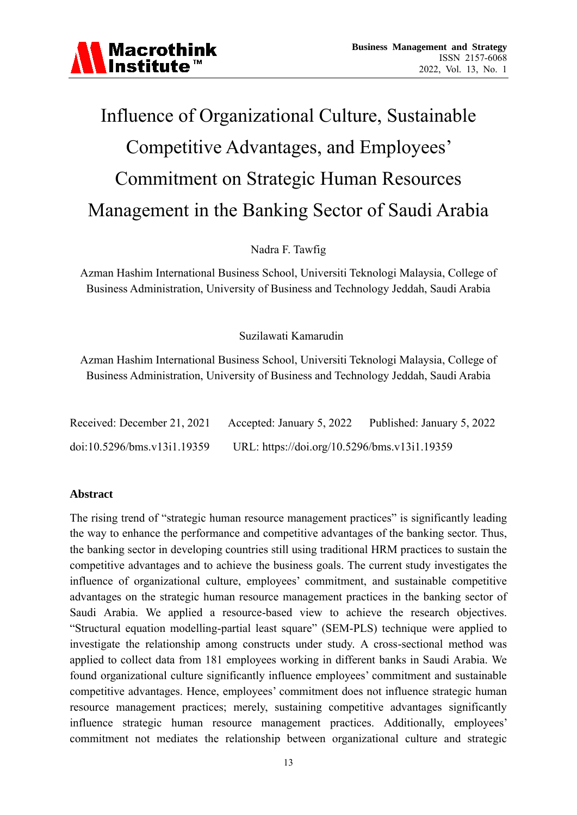

### Influence of Organizational Culture, Sustainable Competitive Advantages, and Employees' Commitment on Strategic Human Resources Management in the Banking Sector of Saudi Arabia

Nadra F. Tawfig

Azman Hashim International Business School, Universiti Teknologi Malaysia, College of Business Administration, University of Business and Technology Jeddah, Saudi Arabia

#### Suzilawati Kamarudin

Azman Hashim International Business School, Universiti Teknologi Malaysia, College of Business Administration, University of Business and Technology Jeddah, Saudi Arabia

| Received: December 21, 2021 Accepted: January 5, 2022 Published: January 5, 2022 |                                              |  |
|----------------------------------------------------------------------------------|----------------------------------------------|--|
| doi:10.5296/bms.v13i1.19359                                                      | URL: https://doi.org/10.5296/bms.v13i1.19359 |  |

#### **Abstract**

The rising trend of "strategic human resource management practices" is significantly leading the way to enhance the performance and competitive advantages of the banking sector. Thus, the banking sector in developing countries still using traditional HRM practices to sustain the competitive advantages and to achieve the business goals. The current study investigates the influence of organizational culture, employees' commitment, and sustainable competitive advantages on the strategic human resource management practices in the banking sector of Saudi Arabia. We applied a resource-based view to achieve the research objectives. "Structural equation modelling-partial least square" (SEM-PLS) technique were applied to investigate the relationship among constructs under study. A cross-sectional method was applied to collect data from 181 employees working in different banks in Saudi Arabia. We found organizational culture significantly influence employees' commitment and sustainable competitive advantages. Hence, employees' commitment does not influence strategic human resource management practices; merely, sustaining competitive advantages significantly influence strategic human resource management practices. Additionally, employees' commitment not mediates the relationship between organizational culture and strategic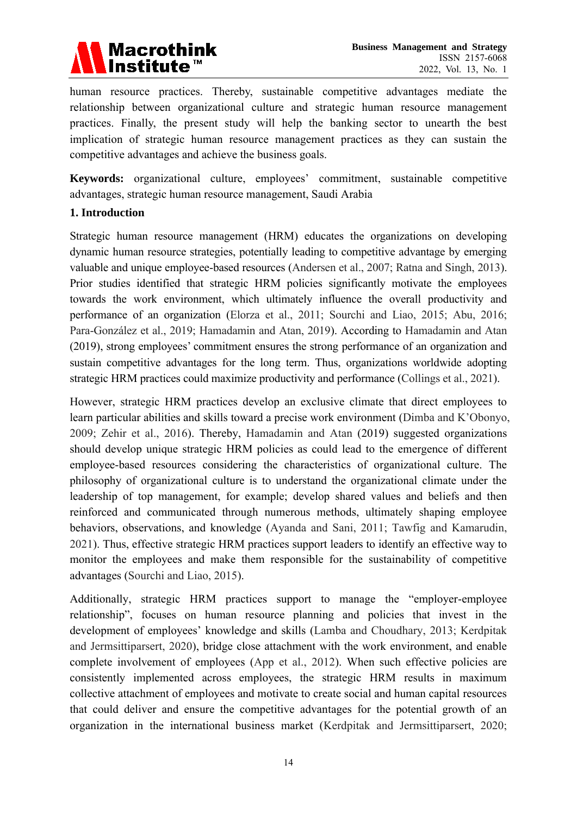

human resource practices. Thereby, sustainable competitive advantages mediate the relationship between organizational culture and strategic human resource management practices. Finally, the present study will help the banking sector to unearth the best implication of strategic human resource management practices as they can sustain the competitive advantages and achieve the business goals.

**Keywords:** organizational culture, employees' commitment, sustainable competitive advantages, strategic human resource management, Saudi Arabia

#### **1. Introduction**

Strategic human resource management (HRM) educates the organizations on developing dynamic human resource strategies, potentially leading to competitive advantage by emerging valuable and unique employee-based resources (Andersen et al., 2007; Ratna and Singh, 2013). Prior studies identified that strategic HRM policies significantly motivate the employees towards the work environment, which ultimately influence the overall productivity and performance of an organization (Elorza et al., 2011; Sourchi and Liao, 2015; Abu, 2016; Para-González et al., 2019; Hamadamin and Atan, 2019). According to Hamadamin and Atan (2019), strong employees' commitment ensures the strong performance of an organization and sustain competitive advantages for the long term. Thus, organizations worldwide adopting strategic HRM practices could maximize productivity and performance (Collings et al., 2021).

However, strategic HRM practices develop an exclusive climate that direct employees to learn particular abilities and skills toward a precise work environment (Dimba and K'Obonyo, 2009; Zehir et al., 2016). Thereby, Hamadamin and Atan (2019) suggested organizations should develop unique strategic HRM policies as could lead to the emergence of different employee-based resources considering the characteristics of organizational culture. The philosophy of organizational culture is to understand the organizational climate under the leadership of top management, for example; develop shared values and beliefs and then reinforced and communicated through numerous methods, ultimately shaping employee behaviors, observations, and knowledge (Ayanda and Sani, 2011; Tawfig and Kamarudin, 2021). Thus, effective strategic HRM practices support leaders to identify an effective way to monitor the employees and make them responsible for the sustainability of competitive advantages (Sourchi and Liao, 2015).

Additionally, strategic HRM practices support to manage the "employer-employee relationship", focuses on human resource planning and policies that invest in the development of employees' knowledge and skills (Lamba and Choudhary, 2013; Kerdpitak and Jermsittiparsert, 2020), bridge close attachment with the work environment, and enable complete involvement of employees (App et al., 2012). When such effective policies are consistently implemented across employees, the strategic HRM results in maximum collective attachment of employees and motivate to create social and human capital resources that could deliver and ensure the competitive advantages for the potential growth of an organization in the international business market (Kerdpitak and Jermsittiparsert, 2020;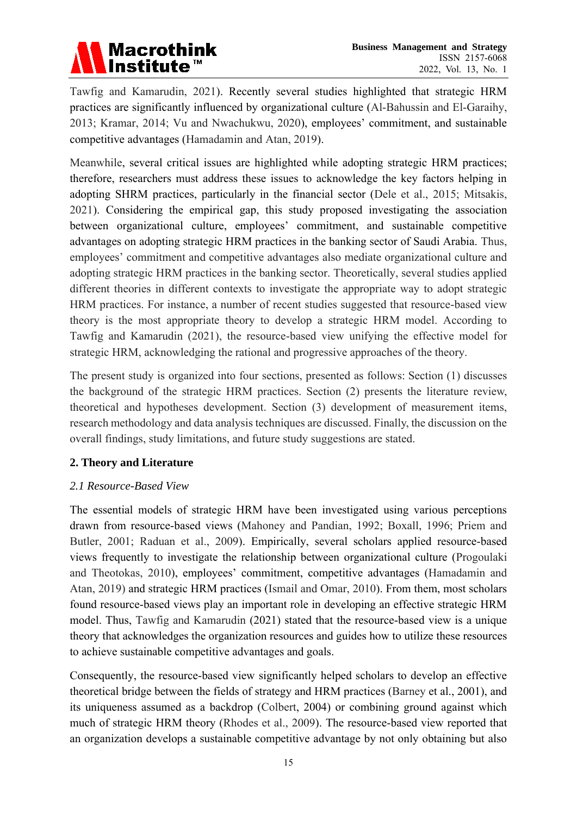

Tawfig and Kamarudin, 2021). Recently several studies highlighted that strategic HRM practices are significantly influenced by organizational culture (Al-Bahussin and El-Garaihy, 2013; Kramar, 2014; Vu and Nwachukwu, 2020), employees' commitment, and sustainable competitive advantages (Hamadamin and Atan, 2019).

Meanwhile, several critical issues are highlighted while adopting strategic HRM practices; therefore, researchers must address these issues to acknowledge the key factors helping in adopting SHRM practices, particularly in the financial sector (Dele et al., 2015; Mitsakis, 2021). Considering the empirical gap, this study proposed investigating the association between organizational culture, employees' commitment, and sustainable competitive advantages on adopting strategic HRM practices in the banking sector of Saudi Arabia. Thus, employees' commitment and competitive advantages also mediate organizational culture and adopting strategic HRM practices in the banking sector. Theoretically, several studies applied different theories in different contexts to investigate the appropriate way to adopt strategic HRM practices. For instance, a number of recent studies suggested that resource-based view theory is the most appropriate theory to develop a strategic HRM model. According to Tawfig and Kamarudin (2021), the resource-based view unifying the effective model for strategic HRM, acknowledging the rational and progressive approaches of the theory.

The present study is organized into four sections, presented as follows: Section (1) discusses the background of the strategic HRM practices. Section (2) presents the literature review, theoretical and hypotheses development. Section (3) development of measurement items, research methodology and data analysis techniques are discussed. Finally, the discussion on the overall findings, study limitations, and future study suggestions are stated.

#### **2. Theory and Literature**

#### *2.1 Resource-Based View*

The essential models of strategic HRM have been investigated using various perceptions drawn from resource-based views (Mahoney and Pandian, 1992; Boxall, 1996; Priem and Butler, 2001; Raduan et al., 2009). Empirically, several scholars applied resource-based views frequently to investigate the relationship between organizational culture (Progoulaki and Theotokas, 2010), employees' commitment, competitive advantages (Hamadamin and Atan, 2019) and strategic HRM practices (Ismail and Omar, 2010). From them, most scholars found resource-based views play an important role in developing an effective strategic HRM model. Thus, Tawfig and Kamarudin (2021) stated that the resource-based view is a unique theory that acknowledges the organization resources and guides how to utilize these resources to achieve sustainable competitive advantages and goals.

Consequently, the resource-based view significantly helped scholars to develop an effective theoretical bridge between the fields of strategy and HRM practices (Barney et al., 2001), and its uniqueness assumed as a backdrop (Colbert, 2004) or combining ground against which much of strategic HRM theory (Rhodes et al., 2009). The resource-based view reported that an organization develops a sustainable competitive advantage by not only obtaining but also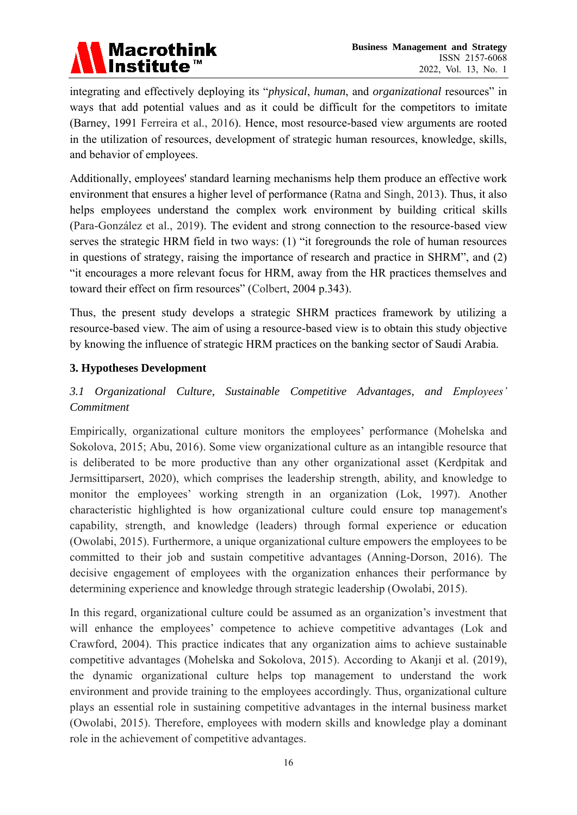

integrating and effectively deploying its "*physical*, *human*, and *organizational* resources" in ways that add potential values and as it could be difficult for the competitors to imitate (Barney, 1991 Ferreira et al., 2016). Hence, most resource-based view arguments are rooted in the utilization of resources, development of strategic human resources, knowledge, skills, and behavior of employees.

Additionally, employees' standard learning mechanisms help them produce an effective work environment that ensures a higher level of performance (Ratna and Singh, 2013). Thus, it also helps employees understand the complex work environment by building critical skills (Para-González et al., 2019). The evident and strong connection to the resource-based view serves the strategic HRM field in two ways: (1) "it foregrounds the role of human resources in questions of strategy, raising the importance of research and practice in SHRM", and (2) "it encourages a more relevant focus for HRM, away from the HR practices themselves and toward their effect on firm resources" (Colbert, 2004 p.343).

Thus, the present study develops a strategic SHRM practices framework by utilizing a resource-based view. The aim of using a resource-based view is to obtain this study objective by knowing the influence of strategic HRM practices on the banking sector of Saudi Arabia.

#### **3. Hypotheses Development**

#### *3.1 Organizational Culture, Sustainable Competitive Advantages, and Employees' Commitment*

Empirically, organizational culture monitors the employees' performance (Mohelska and Sokolova, 2015; Abu, 2016). Some view organizational culture as an intangible resource that is deliberated to be more productive than any other organizational asset (Kerdpitak and Jermsittiparsert, 2020), which comprises the leadership strength, ability, and knowledge to monitor the employees' working strength in an organization (Lok, 1997). Another characteristic highlighted is how organizational culture could ensure top management's capability, strength, and knowledge (leaders) through formal experience or education (Owolabi, 2015). Furthermore, a unique organizational culture empowers the employees to be committed to their job and sustain competitive advantages (Anning-Dorson, 2016). The decisive engagement of employees with the organization enhances their performance by determining experience and knowledge through strategic leadership (Owolabi, 2015).

In this regard, organizational culture could be assumed as an organization's investment that will enhance the employees' competence to achieve competitive advantages (Lok and Crawford, 2004). This practice indicates that any organization aims to achieve sustainable competitive advantages (Mohelska and Sokolova, 2015). According to Akanji et al. (2019), the dynamic organizational culture helps top management to understand the work environment and provide training to the employees accordingly. Thus, organizational culture plays an essential role in sustaining competitive advantages in the internal business market (Owolabi, 2015). Therefore, employees with modern skills and knowledge play a dominant role in the achievement of competitive advantages.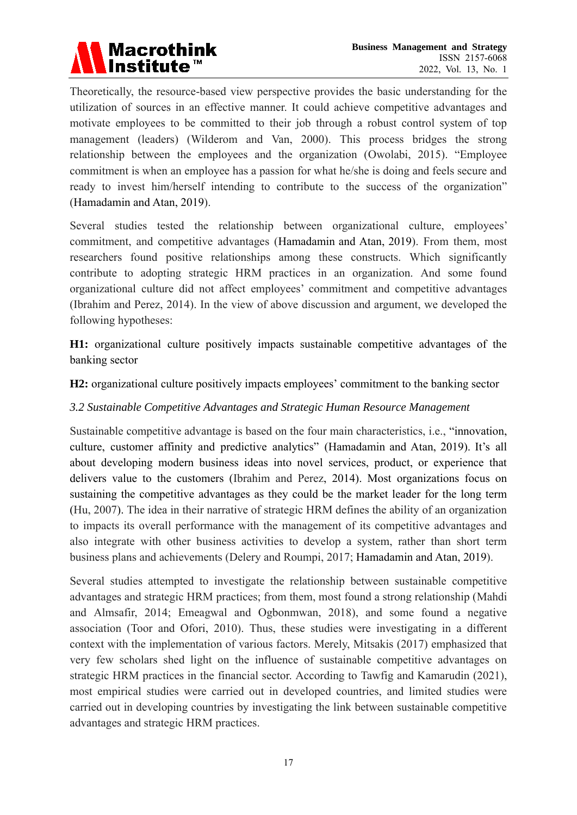

Theoretically, the resource-based view perspective provides the basic understanding for the utilization of sources in an effective manner. It could achieve competitive advantages and motivate employees to be committed to their job through a robust control system of top management (leaders) (Wilderom and Van, 2000). This process bridges the strong relationship between the employees and the organization (Owolabi, 2015). "Employee commitment is when an employee has a passion for what he/she is doing and feels secure and ready to invest him/herself intending to contribute to the success of the organization" (Hamadamin and Atan, 2019).

Several studies tested the relationship between organizational culture, employees' commitment, and competitive advantages (Hamadamin and Atan, 2019). From them, most researchers found positive relationships among these constructs. Which significantly contribute to adopting strategic HRM practices in an organization. And some found organizational culture did not affect employees' commitment and competitive advantages (Ibrahim and Perez, 2014). In the view of above discussion and argument, we developed the following hypotheses:

**H1:** organizational culture positively impacts sustainable competitive advantages of the banking sector

**H2:** organizational culture positively impacts employees' commitment to the banking sector

#### *3.2 Sustainable Competitive Advantages and Strategic Human Resource Management*

Sustainable competitive advantage is based on the four main characteristics, i.e., "innovation, culture, customer affinity and predictive analytics" (Hamadamin and Atan, 2019). It's all about developing modern business ideas into novel services, product, or experience that delivers value to the customers (Ibrahim and Perez, 2014). Most organizations focus on sustaining the competitive advantages as they could be the market leader for the long term (Hu, 2007). The idea in their narrative of strategic HRM defines the ability of an organization to impacts its overall performance with the management of its competitive advantages and also integrate with other business activities to develop a system, rather than short term business plans and achievements (Delery and Roumpi, 2017; Hamadamin and Atan, 2019).

Several studies attempted to investigate the relationship between sustainable competitive advantages and strategic HRM practices; from them, most found a strong relationship (Mahdi and Almsafir, 2014; Emeagwal and Ogbonmwan, 2018), and some found a negative association (Toor and Ofori, 2010). Thus, these studies were investigating in a different context with the implementation of various factors. Merely, Mitsakis (2017) emphasized that very few scholars shed light on the influence of sustainable competitive advantages on strategic HRM practices in the financial sector. According to Tawfig and Kamarudin (2021), most empirical studies were carried out in developed countries, and limited studies were carried out in developing countries by investigating the link between sustainable competitive advantages and strategic HRM practices.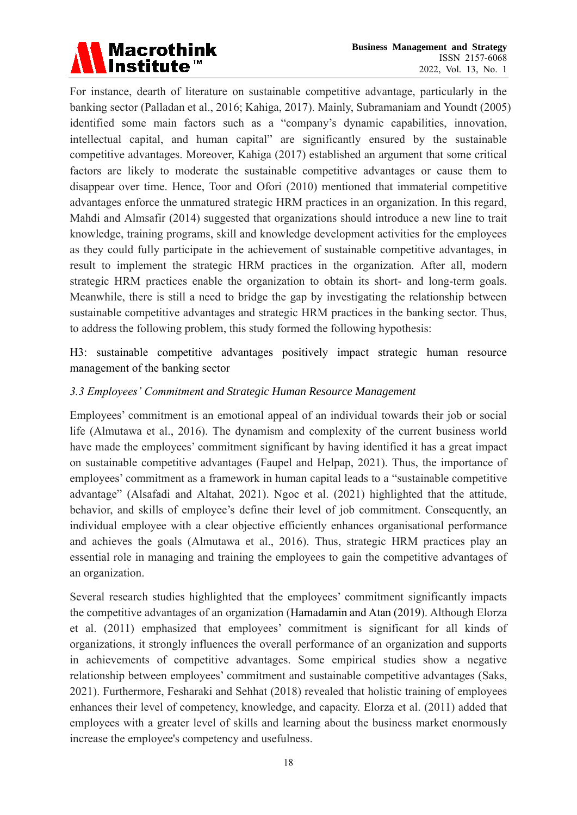

For instance, dearth of literature on sustainable competitive advantage, particularly in the banking sector (Palladan et al., 2016; Kahiga, 2017). Mainly, Subramaniam and Youndt (2005) identified some main factors such as a "company's dynamic capabilities, innovation, intellectual capital, and human capital" are significantly ensured by the sustainable competitive advantages. Moreover, Kahiga (2017) established an argument that some critical factors are likely to moderate the sustainable competitive advantages or cause them to disappear over time. Hence, Toor and Ofori (2010) mentioned that immaterial competitive advantages enforce the unmatured strategic HRM practices in an organization. In this regard, Mahdi and Almsafir (2014) suggested that organizations should introduce a new line to trait knowledge, training programs, skill and knowledge development activities for the employees as they could fully participate in the achievement of sustainable competitive advantages, in result to implement the strategic HRM practices in the organization. After all, modern strategic HRM practices enable the organization to obtain its short- and long-term goals. Meanwhile, there is still a need to bridge the gap by investigating the relationship between sustainable competitive advantages and strategic HRM practices in the banking sector. Thus, to address the following problem, this study formed the following hypothesis:

H3: sustainable competitive advantages positively impact strategic human resource management of the banking sector

#### *3.3 Employees' Commitment and Strategic Human Resource Management*

Employees' commitment is an emotional appeal of an individual towards their job or social life (Almutawa et al., 2016). The dynamism and complexity of the current business world have made the employees' commitment significant by having identified it has a great impact on sustainable competitive advantages (Faupel and Helpap, 2021). Thus, the importance of employees' commitment as a framework in human capital leads to a "sustainable competitive advantage" (Alsafadi and Altahat, 2021). Ngoc et al. (2021) highlighted that the attitude, behavior, and skills of employee's define their level of job commitment. Consequently, an individual employee with a clear objective efficiently enhances organisational performance and achieves the goals (Almutawa et al., 2016). Thus, strategic HRM practices play an essential role in managing and training the employees to gain the competitive advantages of an organization.

Several research studies highlighted that the employees' commitment significantly impacts the competitive advantages of an organization (Hamadamin and Atan (2019). Although Elorza et al. (2011) emphasized that employees' commitment is significant for all kinds of organizations, it strongly influences the overall performance of an organization and supports in achievements of competitive advantages. Some empirical studies show a negative relationship between employees' commitment and sustainable competitive advantages (Saks, 2021). Furthermore, Fesharaki and Sehhat (2018) revealed that holistic training of employees enhances their level of competency, knowledge, and capacity. Elorza et al. (2011) added that employees with a greater level of skills and learning about the business market enormously increase the employee's competency and usefulness.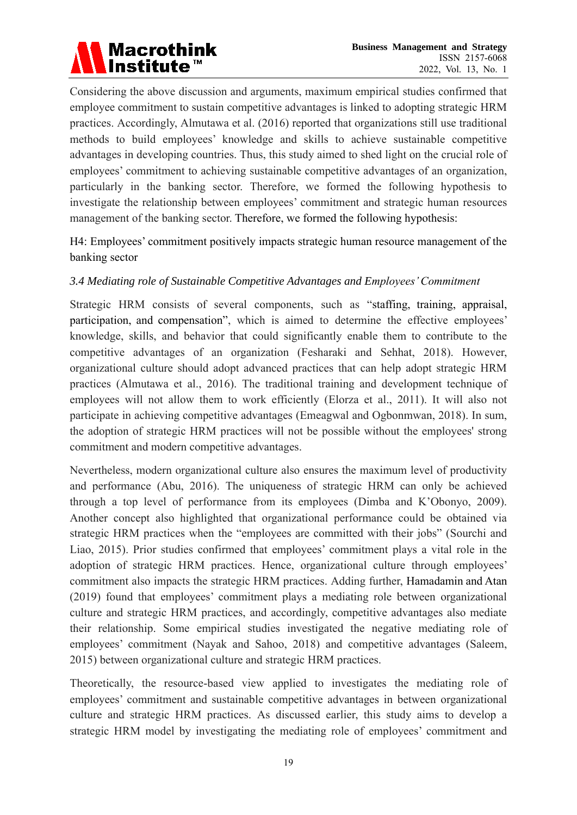Considering the above discussion and arguments, maximum empirical studies confirmed that employee commitment to sustain competitive advantages is linked to adopting strategic HRM practices. Accordingly, Almutawa et al. (2016) reported that organizations still use traditional methods to build employees' knowledge and skills to achieve sustainable competitive advantages in developing countries. Thus, this study aimed to shed light on the crucial role of employees' commitment to achieving sustainable competitive advantages of an organization, particularly in the banking sector. Therefore, we formed the following hypothesis to investigate the relationship between employees' commitment and strategic human resources management of the banking sector. Therefore, we formed the following hypothesis:

H4: Employees' commitment positively impacts strategic human resource management of the banking sector

#### *3.4 Mediating role of Sustainable Competitive Advantages and Employees' Commitment*

Strategic HRM consists of several components, such as "staffing, training, appraisal, participation, and compensation", which is aimed to determine the effective employees' knowledge, skills, and behavior that could significantly enable them to contribute to the competitive advantages of an organization (Fesharaki and Sehhat, 2018). However, organizational culture should adopt advanced practices that can help adopt strategic HRM practices (Almutawa et al., 2016). The traditional training and development technique of employees will not allow them to work efficiently (Elorza et al., 2011). It will also not participate in achieving competitive advantages (Emeagwal and Ogbonmwan, 2018). In sum, the adoption of strategic HRM practices will not be possible without the employees' strong commitment and modern competitive advantages.

Nevertheless, modern organizational culture also ensures the maximum level of productivity and performance (Abu, 2016). The uniqueness of strategic HRM can only be achieved through a top level of performance from its employees (Dimba and K'Obonyo, 2009). Another concept also highlighted that organizational performance could be obtained via strategic HRM practices when the "employees are committed with their jobs" (Sourchi and Liao, 2015). Prior studies confirmed that employees' commitment plays a vital role in the adoption of strategic HRM practices. Hence, organizational culture through employees' commitment also impacts the strategic HRM practices. Adding further, Hamadamin and Atan (2019) found that employees' commitment plays a mediating role between organizational culture and strategic HRM practices, and accordingly, competitive advantages also mediate their relationship. Some empirical studies investigated the negative mediating role of employees' commitment (Nayak and Sahoo, 2018) and competitive advantages (Saleem, 2015) between organizational culture and strategic HRM practices.

Theoretically, the resource-based view applied to investigates the mediating role of employees' commitment and sustainable competitive advantages in between organizational culture and strategic HRM practices. As discussed earlier, this study aims to develop a strategic HRM model by investigating the mediating role of employees' commitment and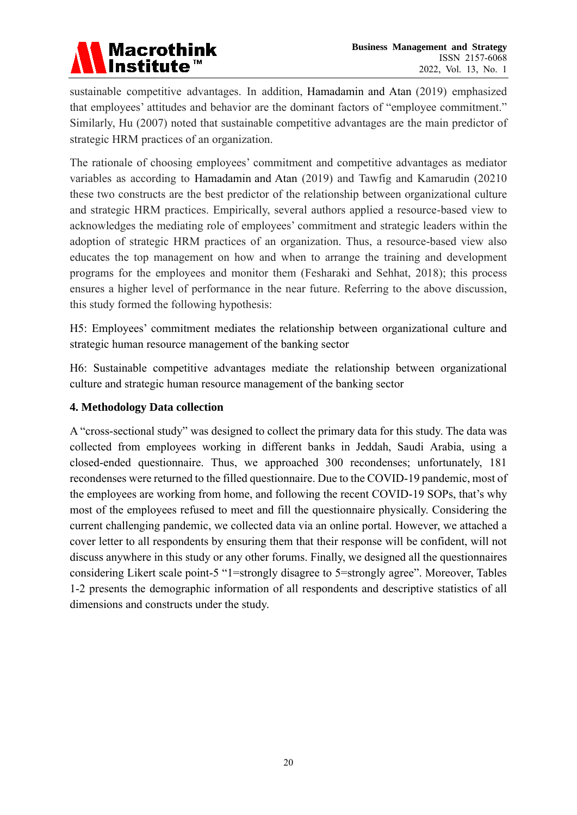### **Macrothink** Institute<sup>™</sup>

sustainable competitive advantages. In addition, Hamadamin and Atan (2019) emphasized that employees' attitudes and behavior are the dominant factors of "employee commitment." Similarly, Hu (2007) noted that sustainable competitive advantages are the main predictor of strategic HRM practices of an organization.

The rationale of choosing employees' commitment and competitive advantages as mediator variables as according to Hamadamin and Atan (2019) and Tawfig and Kamarudin (20210 these two constructs are the best predictor of the relationship between organizational culture and strategic HRM practices. Empirically, several authors applied a resource-based view to acknowledges the mediating role of employees' commitment and strategic leaders within the adoption of strategic HRM practices of an organization. Thus, a resource-based view also educates the top management on how and when to arrange the training and development programs for the employees and monitor them (Fesharaki and Sehhat, 2018); this process ensures a higher level of performance in the near future. Referring to the above discussion, this study formed the following hypothesis:

H5: Employees' commitment mediates the relationship between organizational culture and strategic human resource management of the banking sector

H6: Sustainable competitive advantages mediate the relationship between organizational culture and strategic human resource management of the banking sector

#### **4. Methodology Data collection**

A "cross-sectional study" was designed to collect the primary data for this study. The data was collected from employees working in different banks in Jeddah, Saudi Arabia, using a closed-ended questionnaire. Thus, we approached 300 recondenses; unfortunately, 181 recondenses were returned to the filled questionnaire. Due to the COVID-19 pandemic, most of the employees are working from home, and following the recent COVID-19 SOPs, that's why most of the employees refused to meet and fill the questionnaire physically. Considering the current challenging pandemic, we collected data via an online portal. However, we attached a cover letter to all respondents by ensuring them that their response will be confident, will not discuss anywhere in this study or any other forums. Finally, we designed all the questionnaires considering Likert scale point-5 "1=strongly disagree to 5=strongly agree". Moreover, Tables 1-2 presents the demographic information of all respondents and descriptive statistics of all dimensions and constructs under the study.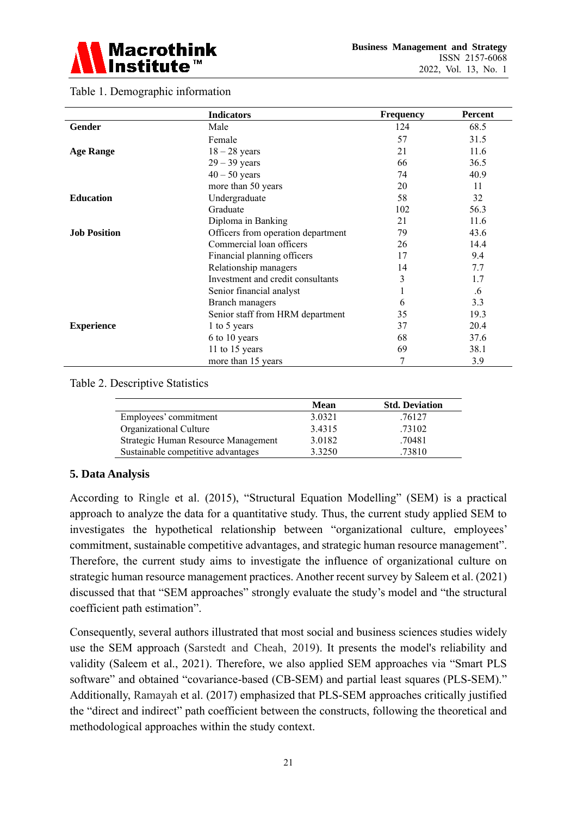

|                     | <b>Indicators</b>                  | <b>Frequency</b> | Percent |
|---------------------|------------------------------------|------------------|---------|
| <b>Gender</b>       | Male                               | 124              | 68.5    |
|                     | Female                             | 57               | 31.5    |
| <b>Age Range</b>    | $18 - 28$ years                    | 21               | 11.6    |
|                     | $29 - 39$ years                    | 66               | 36.5    |
|                     | $40 - 50$ years                    | 74               | 40.9    |
|                     | more than 50 years                 | 20               | 11      |
| <b>Education</b>    | Undergraduate                      | 58               | 32      |
|                     | Graduate                           | 102              | 56.3    |
|                     | Diploma in Banking                 | 21               | 11.6    |
| <b>Job Position</b> | Officers from operation department | 79               | 43.6    |
|                     | Commercial loan officers           | 26               | 14.4    |
|                     | Financial planning officers        | 17               | 9.4     |
|                     | Relationship managers              | 14               | 7.7     |
|                     | Investment and credit consultants  | 3                | 1.7     |
|                     | Senior financial analyst           |                  | .6      |
|                     | Branch managers                    | 6                | 3.3     |
|                     | Senior staff from HRM department   | 35               | 19.3    |
| <b>Experience</b>   | 1 to 5 years                       | 37               | 20.4    |
|                     | 6 to 10 years                      | 68               | 37.6    |
|                     | 11 to 15 years                     | 69               | 38.1    |
|                     | more than 15 years                 | 7                | 3.9     |

#### Table 1. Demographic information

#### Table 2. Descriptive Statistics

|                                     | Mean   | <b>Std. Deviation</b> |
|-------------------------------------|--------|-----------------------|
| Employees' commitment               | 3.0321 | .76127                |
| Organizational Culture              | 3.4315 | .73102                |
| Strategic Human Resource Management | 3.0182 | .70481                |
| Sustainable competitive advantages  | 3.3250 | .73810                |

#### **5. Data Analysis**

According to Ringle et al. (2015), "Structural Equation Modelling" (SEM) is a practical approach to analyze the data for a quantitative study. Thus, the current study applied SEM to investigates the hypothetical relationship between "organizational culture, employees' commitment, sustainable competitive advantages, and strategic human resource management". Therefore, the current study aims to investigate the influence of organizational culture on strategic human resource management practices. Another recent survey by Saleem et al. (2021) discussed that that "SEM approaches" strongly evaluate the study's model and "the structural coefficient path estimation".

Consequently, several authors illustrated that most social and business sciences studies widely use the SEM approach (Sarstedt and Cheah, 2019). It presents the model's reliability and validity (Saleem et al., 2021). Therefore, we also applied SEM approaches via "Smart PLS software" and obtained "covariance-based (CB-SEM) and partial least squares (PLS-SEM)." Additionally, Ramayah et al. (2017) emphasized that PLS-SEM approaches critically justified the "direct and indirect" path coefficient between the constructs, following the theoretical and methodological approaches within the study context.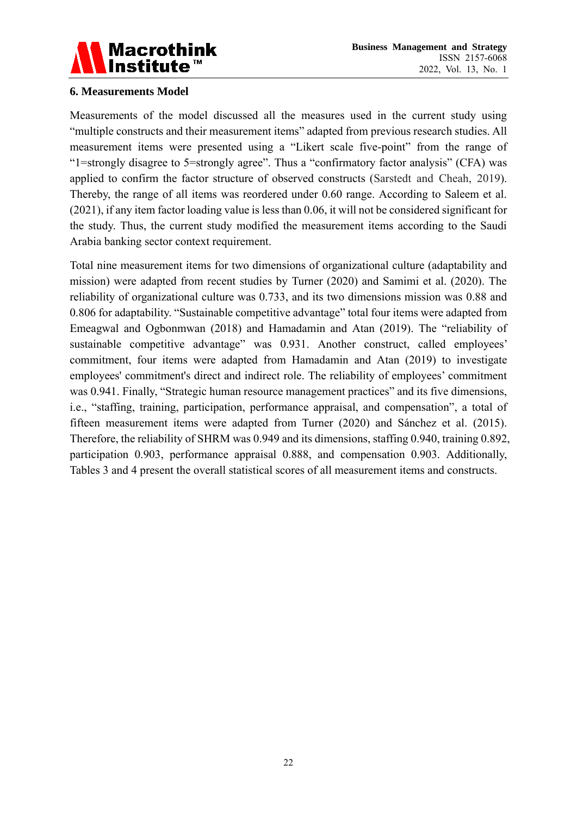

#### **6. Measurements Model**

Measurements of the model discussed all the measures used in the current study using "multiple constructs and their measurement items" adapted from previous research studies. All measurement items were presented using a "Likert scale five-point" from the range of "1=strongly disagree to 5=strongly agree". Thus a "confirmatory factor analysis" (CFA) was applied to confirm the factor structure of observed constructs (Sarstedt and Cheah, 2019). Thereby, the range of all items was reordered under 0.60 range. According to Saleem et al. (2021), if any item factor loading value is less than 0.06, it will not be considered significant for the study. Thus, the current study modified the measurement items according to the Saudi Arabia banking sector context requirement.

Total nine measurement items for two dimensions of organizational culture (adaptability and mission) were adapted from recent studies by Turner (2020) and Samimi et al. (2020). The reliability of organizational culture was 0.733, and its two dimensions mission was 0.88 and 0.806 for adaptability. "Sustainable competitive advantage" total four items were adapted from Emeagwal and Ogbonmwan (2018) and Hamadamin and Atan (2019). The "reliability of sustainable competitive advantage" was 0.931. Another construct, called employees' commitment, four items were adapted from Hamadamin and Atan (2019) to investigate employees' commitment's direct and indirect role. The reliability of employees' commitment was 0.941. Finally, "Strategic human resource management practices" and its five dimensions, i.e., "staffing, training, participation, performance appraisal, and compensation", a total of fifteen measurement items were adapted from Turner (2020) and Sánchez et al. (2015). Therefore, the reliability of SHRM was 0.949 and its dimensions, staffing 0.940, training 0.892, participation 0.903, performance appraisal 0.888, and compensation 0.903. Additionally, Tables 3 and 4 present the overall statistical scores of all measurement items and constructs.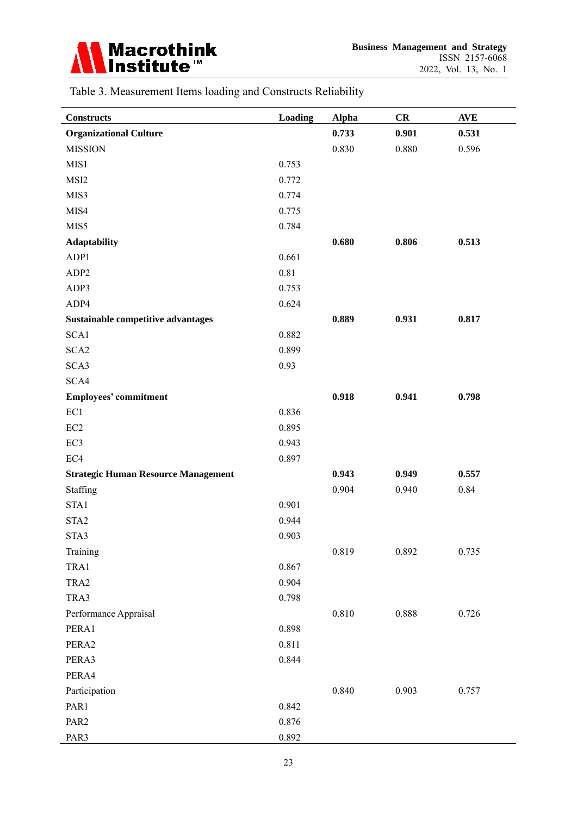

| Table 3. Measurement Items loading and Constructs Reliability |  |  |  |
|---------------------------------------------------------------|--|--|--|
|---------------------------------------------------------------|--|--|--|

| <b>Constructs</b>                          | <b>Loading</b> | <b>Alpha</b> | CR    | <b>AVE</b> |
|--------------------------------------------|----------------|--------------|-------|------------|
| <b>Organizational Culture</b>              |                | 0.733        | 0.901 | 0.531      |
| <b>MISSION</b>                             |                | 0.830        | 0.880 | 0.596      |
| MIS1                                       | 0.753          |              |       |            |
| MSI2                                       | 0.772          |              |       |            |
| MIS3                                       | 0.774          |              |       |            |
| MIS4                                       | 0.775          |              |       |            |
| MIS5                                       | 0.784          |              |       |            |
| <b>Adaptability</b>                        |                | 0.680        | 0.806 | 0.513      |
| ADP1                                       | 0.661          |              |       |            |
| ADP <sub>2</sub>                           | 0.81           |              |       |            |
| ADP3                                       | 0.753          |              |       |            |
| ADP4                                       | 0.624          |              |       |            |
| Sustainable competitive advantages         |                | 0.889        | 0.931 | 0.817      |
| SCA1                                       | 0.882          |              |       |            |
| SCA <sub>2</sub>                           | 0.899          |              |       |            |
| SCA3                                       | 0.93           |              |       |            |
| SCA4                                       |                |              |       |            |
| <b>Employees' commitment</b>               |                | 0.918        | 0.941 | 0.798      |
| EC1                                        | 0.836          |              |       |            |
| EC <sub>2</sub>                            | 0.895          |              |       |            |
| EC3                                        | 0.943          |              |       |            |
| EC4                                        | 0.897          |              |       |            |
| <b>Strategic Human Resource Management</b> |                | 0.943        | 0.949 | 0.557      |
| Staffing                                   |                | 0.904        | 0.940 | 0.84       |
| STA1                                       | 0.901          |              |       |            |
| STA <sub>2</sub>                           | 0.944          |              |       |            |
| STA3                                       | 0.903          |              |       |            |
| Training                                   |                | 0.819        | 0.892 | 0.735      |
| TRA1                                       | 0.867          |              |       |            |
| TRA2                                       | 0.904          |              |       |            |
| TRA3                                       | 0.798          |              |       |            |
| Performance Appraisal                      |                | $0.810\,$    | 0.888 | 0.726      |
| PERA1                                      | 0.898          |              |       |            |
| PERA2                                      | 0.811          |              |       |            |
| PERA3                                      | 0.844          |              |       |            |
| PERA4                                      |                |              |       |            |
| Participation                              |                | 0.840        | 0.903 | 0.757      |
| PAR1                                       | 0.842          |              |       |            |
| PAR <sub>2</sub>                           | 0.876          |              |       |            |
| PAR3                                       | 0.892          |              |       |            |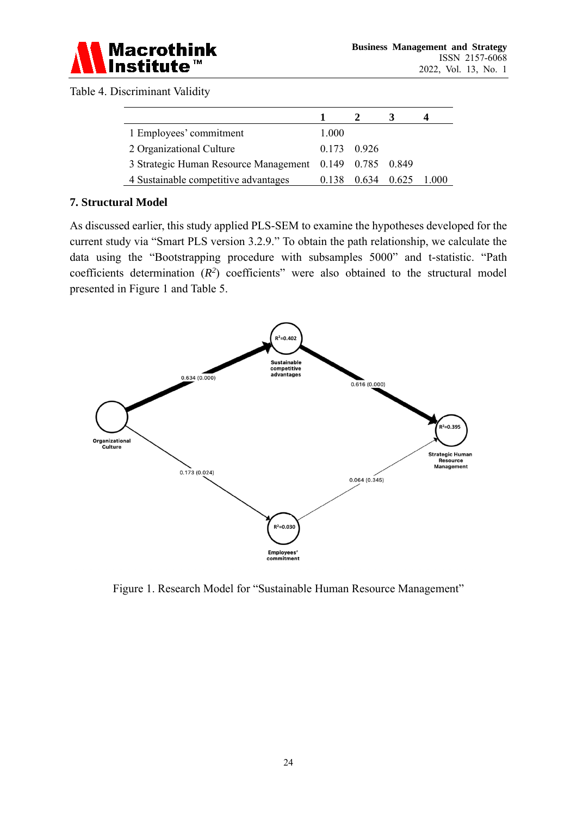

Table 4. Discriminant Validity

| 1 Employees' commitment                                 | 1.000 |               |       |       |
|---------------------------------------------------------|-------|---------------|-------|-------|
| 2 Organizational Culture                                |       | $0.173$ 0.926 |       |       |
| 3 Strategic Human Resource Management 0.149 0.785 0.849 |       |               |       |       |
| 4 Sustainable competitive advantages                    | 0.138 | 0.634         | 0.625 | 1.000 |

#### **7. Structural Model**

As discussed earlier, this study applied PLS-SEM to examine the hypotheses developed for the current study via "Smart PLS version 3.2.9." To obtain the path relationship, we calculate the data using the "Bootstrapping procedure with subsamples 5000" and t-statistic. "Path coefficients determination  $(R^2)$  coefficients" were also obtained to the structural model presented in Figure 1 and Table 5.



Figure 1. Research Model for "Sustainable Human Resource Management"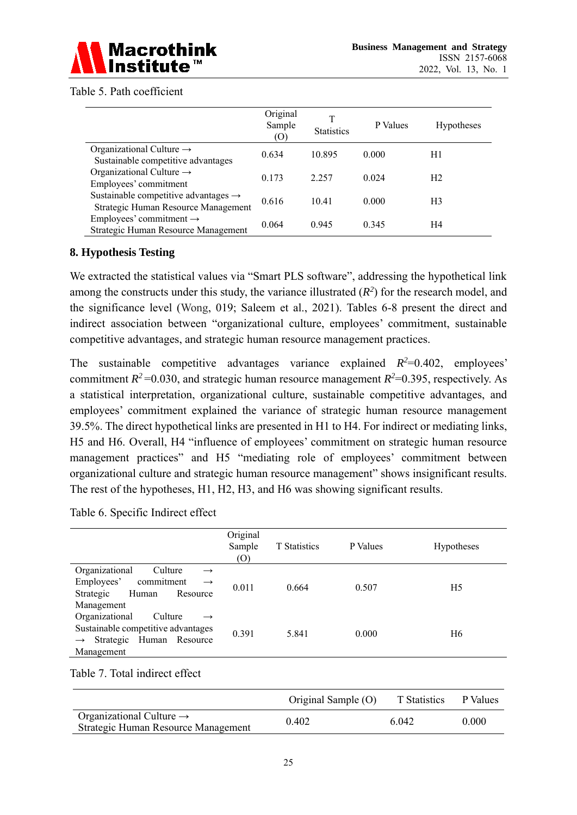

#### Table 5. Path coefficient

|                                                                                         | Original<br>Sample<br>(0) | Τ<br><b>Statistics</b> | P Values | <b>Hypotheses</b> |
|-----------------------------------------------------------------------------------------|---------------------------|------------------------|----------|-------------------|
| Organizational Culture $\rightarrow$<br>Sustainable competitive advantages              | 0.634                     | 10.895                 | 0.000    | H1                |
| Organizational Culture $\rightarrow$<br>Employees' commitment                           | 0.173                     | 2.257                  | 0.024    | H <sub>2</sub>    |
| Sustainable competitive advantages $\rightarrow$<br>Strategic Human Resource Management | 0.616                     | 10.41                  | 0.000    | H <sub>3</sub>    |
| Employees' commitment $\rightarrow$<br>Strategic Human Resource Management              | 0.064                     | 0.945                  | 0.345    | H4                |

#### **8. Hypothesis Testing**

We extracted the statistical values via "Smart PLS software", addressing the hypothetical link among the constructs under this study, the variance illustrated  $(R^2)$  for the research model, and the significance level (Wong, 019; Saleem et al., 2021). Tables 6-8 present the direct and indirect association between "organizational culture, employees' commitment, sustainable competitive advantages, and strategic human resource management practices.

The sustainable competitive advantages variance explained  $R^2=0.402$ , employees' commitment  $R^2$  =0.030, and strategic human resource management  $R^2$ =0.395, respectively. As a statistical interpretation, organizational culture, sustainable competitive advantages, and employees' commitment explained the variance of strategic human resource management 39.5%. The direct hypothetical links are presented in H1 to H4. For indirect or mediating links, H5 and H6. Overall, H4 "influence of employees' commitment on strategic human resource management practices" and H5 "mediating role of employees' commitment between organizational culture and strategic human resource management" shows insignificant results. The rest of the hypotheses, H1, H2, H3, and H6 was showing significant results.

Table 6. Specific Indirect effect

|                                                                                                                                             | Original<br>Sample<br>(O) | <b>T</b> Statistics | P Values | Hypotheses |
|---------------------------------------------------------------------------------------------------------------------------------------------|---------------------------|---------------------|----------|------------|
| Organizational<br>Culture<br>$\rightarrow$<br>Employees'<br>commitment<br>$\rightarrow$<br>Strategic<br>Human<br>Resource<br>Management     | 0.011                     | 0.664               | 0.507    | H5         |
| Organizational<br>Culture<br>$\rightarrow$<br>Sustainable competitive advantages<br>Strategic Human Resource<br>$\rightarrow$<br>Management | 0.391                     | 5.841               | 0.000    | H6         |

#### Table 7. Total indirect effect

|                                                                             | Original Sample (O) | T Statistics | P Values |
|-----------------------------------------------------------------------------|---------------------|--------------|----------|
| Organizational Culture $\rightarrow$<br>Strategic Human Resource Management | 0.402               | 6.042        | 0.000    |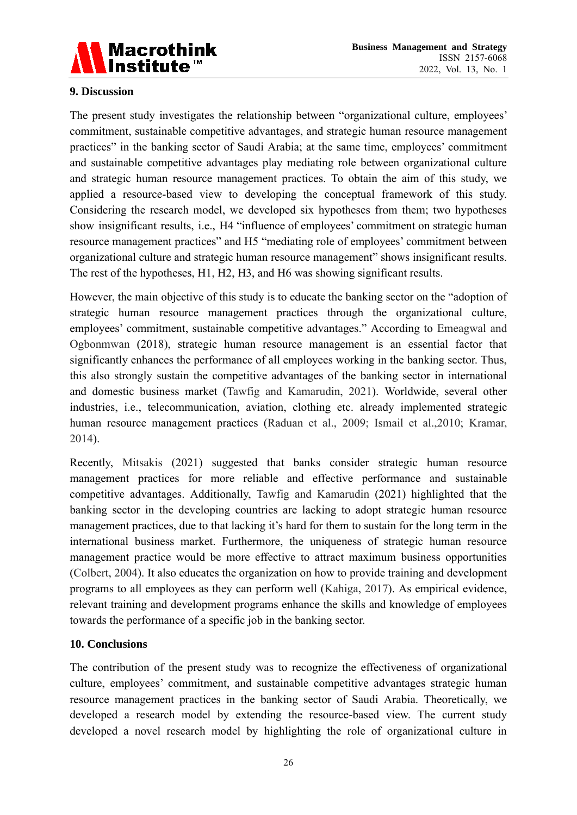

#### **9. Discussion**

The present study investigates the relationship between "organizational culture, employees' commitment, sustainable competitive advantages, and strategic human resource management practices" in the banking sector of Saudi Arabia; at the same time, employees' commitment and sustainable competitive advantages play mediating role between organizational culture and strategic human resource management practices. To obtain the aim of this study, we applied a resource-based view to developing the conceptual framework of this study. Considering the research model, we developed six hypotheses from them; two hypotheses show insignificant results, i.e., H4 "influence of employees' commitment on strategic human resource management practices" and H5 "mediating role of employees' commitment between organizational culture and strategic human resource management" shows insignificant results. The rest of the hypotheses, H1, H2, H3, and H6 was showing significant results.

However, the main objective of this study is to educate the banking sector on the "adoption of strategic human resource management practices through the organizational culture, employees' commitment, sustainable competitive advantages." According to Emeagwal and Ogbonmwan (2018), strategic human resource management is an essential factor that significantly enhances the performance of all employees working in the banking sector. Thus, this also strongly sustain the competitive advantages of the banking sector in international and domestic business market (Tawfig and Kamarudin, 2021). Worldwide, several other industries, i.e., telecommunication, aviation, clothing etc. already implemented strategic human resource management practices (Raduan et al., 2009; Ismail et al.,2010; Kramar, 2014).

Recently, Mitsakis (2021) suggested that banks consider strategic human resource management practices for more reliable and effective performance and sustainable competitive advantages. Additionally, Tawfig and Kamarudin (2021) highlighted that the banking sector in the developing countries are lacking to adopt strategic human resource management practices, due to that lacking it's hard for them to sustain for the long term in the international business market. Furthermore, the uniqueness of strategic human resource management practice would be more effective to attract maximum business opportunities (Colbert, 2004). It also educates the organization on how to provide training and development programs to all employees as they can perform well (Kahiga, 2017). As empirical evidence, relevant training and development programs enhance the skills and knowledge of employees towards the performance of a specific job in the banking sector.

#### **10. Conclusions**

The contribution of the present study was to recognize the effectiveness of organizational culture, employees' commitment, and sustainable competitive advantages strategic human resource management practices in the banking sector of Saudi Arabia. Theoretically, we developed a research model by extending the resource-based view. The current study developed a novel research model by highlighting the role of organizational culture in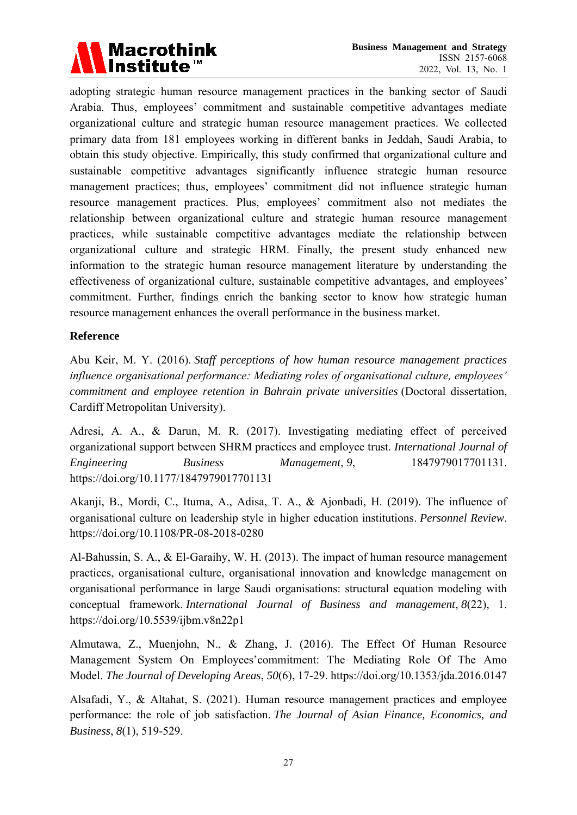

adopting strategic human resource management practices in the banking sector of Saudi Arabia. Thus, employees' commitment and sustainable competitive advantages mediate organizational culture and strategic human resource management practices. We collected primary data from 181 employees working in different banks in Jeddah, Saudi Arabia, to obtain this study objective. Empirically, this study confirmed that organizational culture and sustainable competitive advantages significantly influence strategic human resource management practices; thus, employees' commitment did not influence strategic human resource management practices. Plus, employees' commitment also not mediates the relationship between organizational culture and strategic human resource management practices, while sustainable competitive advantages mediate the relationship between organizational culture and strategic HRM. Finally, the present study enhanced new information to the strategic human resource management literature by understanding the effectiveness of organizational culture, sustainable competitive advantages, and employees' commitment. Further, findings enrich the banking sector to know how strategic human resource management enhances the overall performance in the business market.

#### **Reference**

Abu Keir, M. Y. (2016). *Staff perceptions of how human resource management practices influence organisational performance: Mediating roles of organisational culture, employees' commitment and employee retention in Bahrain private universities* (Doctoral dissertation, Cardiff Metropolitan University).

Adresi, A. A., & Darun, M. R. (2017). Investigating mediating effect of perceived organizational support between SHRM practices and employee trust. *International Journal of Engineering Business Management*, *9*, 1847979017701131. <https://doi.org/10.1177/1847979017701131>

Akanji, B., Mordi, C., Ituma, A., Adisa, T. A., & Ajonbadi, H. (2019). The influence of organisational culture on leadership style in higher education institutions. *Personnel Review*. <https://doi.org/10.1108/PR-08-2018-0280>

Al-Bahussin, S. A., & El-Garaihy, W. H. (2013). The impact of human resource management practices, organisational culture, organisational innovation and knowledge management on organisational performance in large Saudi organisations: structural equation modeling with conceptual framework. *International Journal of Business and management*, *8*(22), 1. <https://doi.org/10.5539/ijbm.v8n22p1>

Almutawa, Z., Muenjohn, N., & Zhang, J. (2016). The Effect Of Human Resource Management System On Employees'commitment: The Mediating Role Of The Amo Model. *The Journal of Developing Areas*, *50*(6), 17-29. <https://doi.org/10.1353/jda.2016.0147>

Alsafadi, Y., & Altahat, S. (2021). Human resource management practices and employee performance: the role of job satisfaction. *The Journal of Asian Finance, Economics, and Business*, *8*(1), 519-529.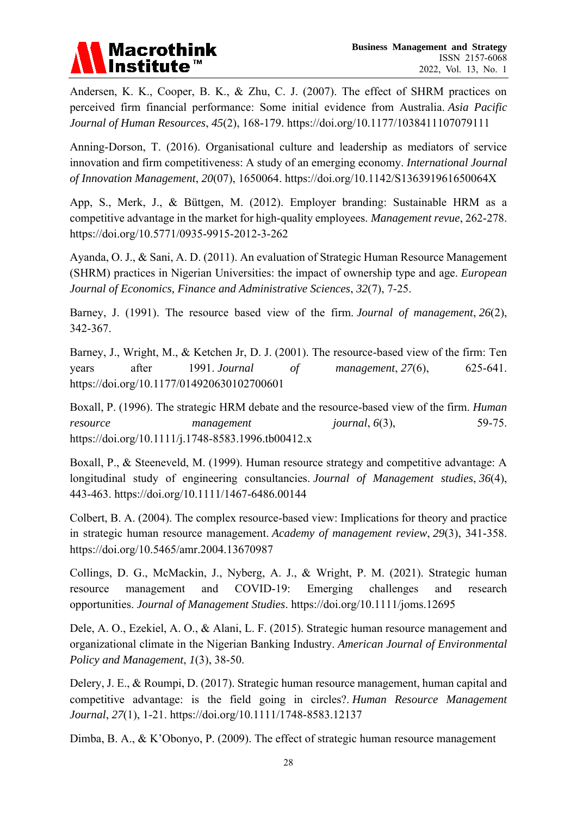# **Macrothink**

Andersen, K. K., Cooper, B. K., & Zhu, C. J. (2007). The effect of SHRM practices on perceived firm financial performance: Some initial evidence from Australia. *Asia Pacific Journal of Human Resources*, *45*(2), 168-179. <https://doi.org/10.1177/1038411107079111>

Anning-Dorson, T. (2016). Organisational culture and leadership as mediators of service innovation and firm competitiveness: A study of an emerging economy. *International Journal of Innovation Management*, *20*(07), 1650064. <https://doi.org/10.1142/S136391961650064X>

App, S., Merk, J., & Büttgen, M. (2012). Employer branding: Sustainable HRM as a competitive advantage in the market for high-quality employees. *Management revue*, 262-278. <https://doi.org/10.5771/0935-9915-2012-3-262>

Ayanda, O. J., & Sani, A. D. (2011). An evaluation of Strategic Human Resource Management (SHRM) practices in Nigerian Universities: the impact of ownership type and age. *European Journal of Economics, Finance and Administrative Sciences*, *32*(7), 7-25.

Barney, J. (1991). The resource based view of the firm. *Journal of management*, *26*(2), 342-367.

Barney, J., Wright, M., & Ketchen Jr, D. J. (2001). The resource-based view of the firm: Ten years after 1991. *Journal of management*, *27*(6), 625-641. <https://doi.org/10.1177/014920630102700601>

Boxall, P. (1996). The strategic HRM debate and the resource‐based view of the firm. *Human resource management journal*,  $6(3)$ , 59-75. <https://doi.org/10.1111/j.1748-8583.1996.tb00412.x>

Boxall, P., & Steeneveld, M. (1999). Human resource strategy and competitive advantage: A longitudinal study of engineering consultancies. *Journal of Management studies*, *36*(4), 443-463. <https://doi.org/10.1111/1467-6486.00144>

Colbert, B. A. (2004). The complex resource-based view: Implications for theory and practice in strategic human resource management. *Academy of management review*, *29*(3), 341-358. <https://doi.org/10.5465/amr.2004.13670987>

Collings, D. G., McMackin, J., Nyberg, A. J., & Wright, P. M. (2021). Strategic human resource management and COVID‐19: Emerging challenges and research opportunities. *Journal of Management Studies*. <https://doi.org/10.1111/joms.12695>

Dele, A. O., Ezekiel, A. O., & Alani, L. F. (2015). Strategic human resource management and organizational climate in the Nigerian Banking Industry. *American Journal of Environmental Policy and Management*, *1*(3), 38-50.

Delery, J. E., & Roumpi, D. (2017). Strategic human resource management, human capital and competitive advantage: is the field going in circles?. *Human Resource Management Journal*, *27*(1), 1-21. <https://doi.org/10.1111/1748-8583.12137>

Dimba, B. A., & K'Obonyo, P. (2009). The effect of strategic human resource management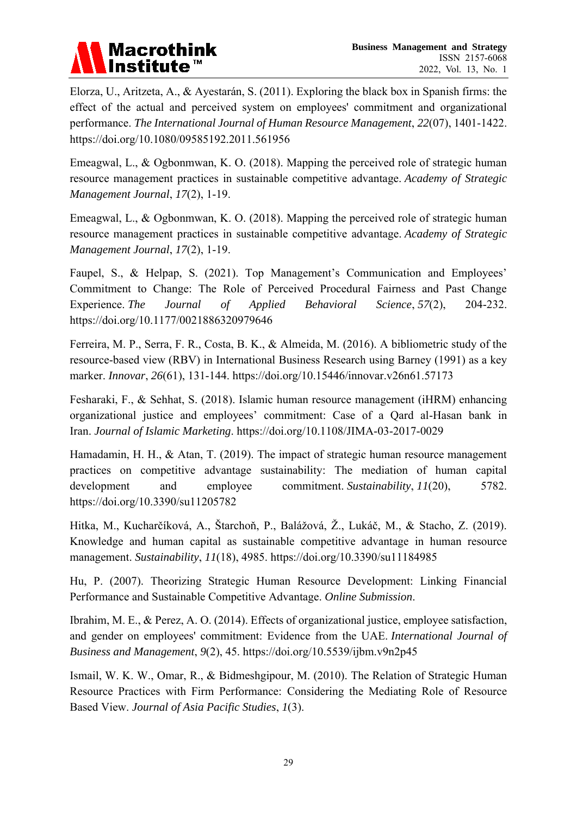

Elorza, U., Aritzeta, A., & Ayestarán, S. (2011). Exploring the black box in Spanish firms: the effect of the actual and perceived system on employees' commitment and organizational performance. *The International Journal of Human Resource Management*, *22*(07), 1401-1422. <https://doi.org/10.1080/09585192.2011.561956>

Emeagwal, L., & Ogbonmwan, K. O. (2018). Mapping the perceived role of strategic human resource management practices in sustainable competitive advantage. *Academy of Strategic Management Journal*, *17*(2), 1-19.

Emeagwal, L., & Ogbonmwan, K. O. (2018). Mapping the perceived role of strategic human resource management practices in sustainable competitive advantage. *Academy of Strategic Management Journal*, *17*(2), 1-19.

Faupel, S., & Helpap, S. (2021). Top Management's Communication and Employees' Commitment to Change: The Role of Perceived Procedural Fairness and Past Change Experience. *The Journal of Applied Behavioral Science*, *57*(2), 204-232. <https://doi.org/10.1177/0021886320979646>

Ferreira, M. P., Serra, F. R., Costa, B. K., & Almeida, M. (2016). A bibliometric study of the resource-based view (RBV) in International Business Research using Barney (1991) as a key marker. *Innovar*, *26*(61), 131-144. <https://doi.org/10.15446/innovar.v26n61.57173>

Fesharaki, F., & Sehhat, S. (2018). Islamic human resource management (iHRM) enhancing organizational justice and employees' commitment: Case of a Qard al-Hasan bank in Iran. *Journal of Islamic Marketing*. <https://doi.org/10.1108/JIMA-03-2017-0029>

Hamadamin, H. H., & Atan, T. (2019). The impact of strategic human resource management practices on competitive advantage sustainability: The mediation of human capital development and employee commitment. *Sustainability*, 11(20), 5782. <https://doi.org/10.3390/su11205782>

Hitka, M., Kucharčíková, A., Štarchoň, P., Balážová, Ž., Lukáč, M., & Stacho, Z. (2019). Knowledge and human capital as sustainable competitive advantage in human resource management. *Sustainability*, *11*(18), 4985. <https://doi.org/10.3390/su11184985>

Hu, P. (2007). Theorizing Strategic Human Resource Development: Linking Financial Performance and Sustainable Competitive Advantage. *Online Submission*.

Ibrahim, M. E., & Perez, A. O. (2014). Effects of organizational justice, employee satisfaction, and gender on employees' commitment: Evidence from the UAE. *International Journal of Business and Management*, *9*(2), 45. <https://doi.org/10.5539/ijbm.v9n2p45>

Ismail, W. K. W., Omar, R., & Bidmeshgipour, M. (2010). The Relation of Strategic Human Resource Practices with Firm Performance: Considering the Mediating Role of Resource Based View. *Journal of Asia Pacific Studies*, *1*(3).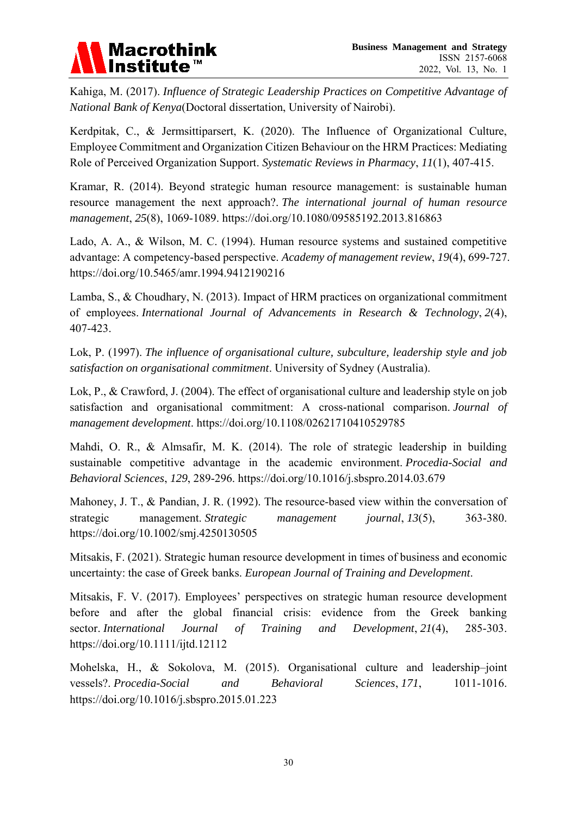

Kahiga, M. (2017). *Influence of Strategic Leadership Practices on Competitive Advantage of National Bank of Kenya*(Doctoral dissertation, University of Nairobi).

Kerdpitak, C., & Jermsittiparsert, K. (2020). The Influence of Organizational Culture, Employee Commitment and Organization Citizen Behaviour on the HRM Practices: Mediating Role of Perceived Organization Support. *Systematic Reviews in Pharmacy*, *11*(1), 407-415.

Kramar, R. (2014). Beyond strategic human resource management: is sustainable human resource management the next approach?. *The international journal of human resource management*, *25*(8), 1069-1089. <https://doi.org/10.1080/09585192.2013.816863>

Lado, A. A., & Wilson, M. C. (1994). Human resource systems and sustained competitive advantage: A competency-based perspective. *Academy of management review*, *19*(4), 699-727. <https://doi.org/10.5465/amr.1994.9412190216>

Lamba, S., & Choudhary, N. (2013). Impact of HRM practices on organizational commitment of employees. *International Journal of Advancements in Research & Technology*, *2*(4), 407-423.

Lok, P. (1997). *The influence of organisational culture, subculture, leadership style and job satisfaction on organisational commitment*. University of Sydney (Australia).

Lok, P., & Crawford, J. (2004). The effect of organisational culture and leadership style on job satisfaction and organisational commitment: A cross‐national comparison. *Journal of management development*. <https://doi.org/10.1108/02621710410529785>

Mahdi, O. R., & Almsafir, M. K. (2014). The role of strategic leadership in building sustainable competitive advantage in the academic environment. *Procedia-Social and Behavioral Sciences*, *129*, 289-296. <https://doi.org/10.1016/j.sbspro.2014.03.679>

Mahoney, J. T., & Pandian, J. R. (1992). The resource-based view within the conversation of strategic management. *Strategic management journal*, *13*(5), 363-380. <https://doi.org/10.1002/smj.4250130505>

Mitsakis, F. (2021). Strategic human resource development in times of business and economic uncertainty: the case of Greek banks. *European Journal of Training and Development*.

Mitsakis, F. V. (2017). Employees' perspectives on strategic human resource development before and after the global financial crisis: evidence from the Greek banking sector. *International Journal of Training and Development*, *21*(4), 285-303. <https://doi.org/10.1111/ijtd.12112>

Mohelska, H., & Sokolova, M. (2015). Organisational culture and leadership–joint vessels?. *Procedia-Social and Behavioral Sciences*, *171*, 1011-1016. <https://doi.org/10.1016/j.sbspro.2015.01.223>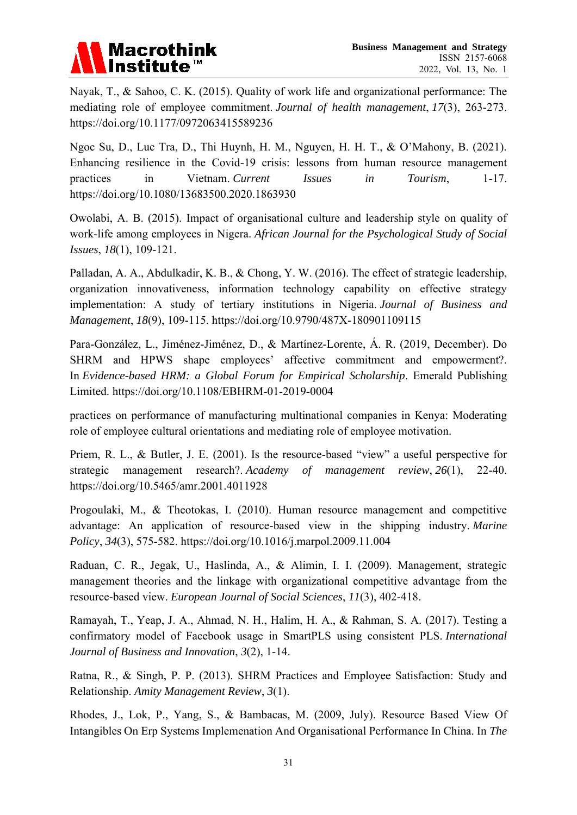# **Macrothink**

Nayak, T., & Sahoo, C. K. (2015). Quality of work life and organizational performance: The mediating role of employee commitment. *Journal of health management*, *17*(3), 263-273. <https://doi.org/10.1177/0972063415589236>

Ngoc Su, D., Luc Tra, D., Thi Huynh, H. M., Nguyen, H. H. T., & O'Mahony, B. (2021). Enhancing resilience in the Covid-19 crisis: lessons from human resource management practices in Vietnam. *Current Issues in Tourism*, 1-17. <https://doi.org/10.1080/13683500.2020.1863930>

Owolabi, A. B. (2015). Impact of organisational culture and leadership style on quality of work-life among employees in Nigera. *African Journal for the Psychological Study of Social Issues*, *18*(1), 109-121.

Palladan, A. A., Abdulkadir, K. B., & Chong, Y. W. (2016). The effect of strategic leadership, organization innovativeness, information technology capability on effective strategy implementation: A study of tertiary institutions in Nigeria. *Journal of Business and Management*, *18*(9), 109-115. <https://doi.org/10.9790/487X-180901109115>

Para-González, L., Jiménez-Jiménez, D., & Martínez-Lorente, Á. R. (2019, December). Do SHRM and HPWS shape employees' affective commitment and empowerment?. In *Evidence-based HRM: a Global Forum for Empirical Scholarship*. Emerald Publishing Limited. <https://doi.org/10.1108/EBHRM-01-2019-0004>

practices on performance of manufacturing multinational companies in Kenya: Moderating role of employee cultural orientations and mediating role of employee motivation.

Priem, R. L., & Butler, J. E. (2001). Is the resource-based "view" a useful perspective for strategic management research?. *Academy of management review*, *26*(1), 22-40. <https://doi.org/10.5465/amr.2001.4011928>

Progoulaki, M., & Theotokas, I. (2010). Human resource management and competitive advantage: An application of resource-based view in the shipping industry. *Marine Policy*, *34*(3), 575-582. <https://doi.org/10.1016/j.marpol.2009.11.004>

Raduan, C. R., Jegak, U., Haslinda, A., & Alimin, I. I. (2009). Management, strategic management theories and the linkage with organizational competitive advantage from the resource-based view. *European Journal of Social Sciences*, *11*(3), 402-418.

Ramayah, T., Yeap, J. A., Ahmad, N. H., Halim, H. A., & Rahman, S. A. (2017). Testing a confirmatory model of Facebook usage in SmartPLS using consistent PLS. *International Journal of Business and Innovation*, *3*(2), 1-14.

Ratna, R., & Singh, P. P. (2013). SHRM Practices and Employee Satisfaction: Study and Relationship. *Amity Management Review*, *3*(1).

Rhodes, J., Lok, P., Yang, S., & Bambacas, M. (2009, July). Resource Based View Of Intangibles On Erp Systems Implemenation And Organisational Performance In China. In *The*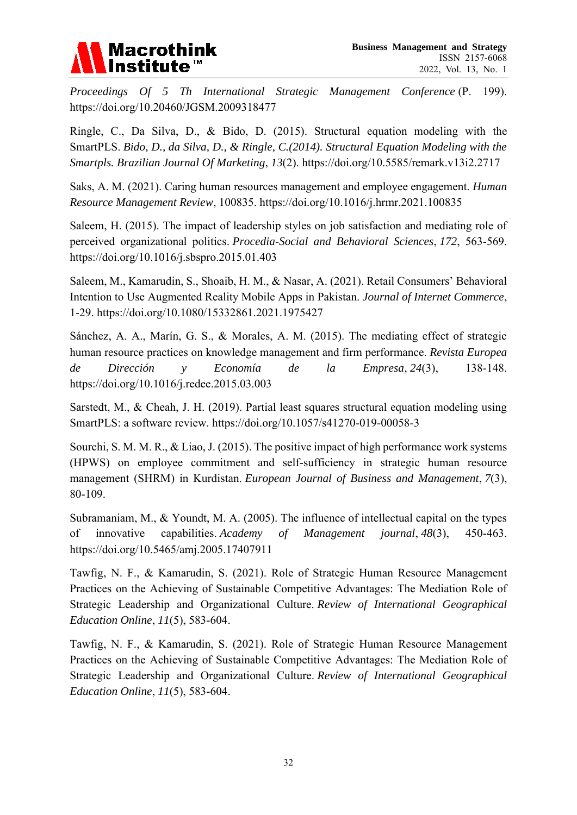

*Proceedings Of 5 Th International Strategic Management Conference* (P. 199). <https://doi.org/10.20460/JGSM.2009318477>

Ringle, C., Da Silva, D., & Bido, D. (2015). Structural equation modeling with the SmartPLS. *Bido, D., da Silva, D., & Ringle, C.(2014). Structural Equation Modeling with the Smartpls. Brazilian Journal Of Marketing*, *13*(2). <https://doi.org/10.5585/remark.v13i2.2717>

Saks, A. M. (2021). Caring human resources management and employee engagement. *Human Resource Management Review*, 100835. <https://doi.org/10.1016/j.hrmr.2021.100835>

Saleem, H. (2015). The impact of leadership styles on job satisfaction and mediating role of perceived organizational politics. *Procedia-Social and Behavioral Sciences*, *172*, 563-569. <https://doi.org/10.1016/j.sbspro.2015.01.403>

Saleem, M., Kamarudin, S., Shoaib, H. M., & Nasar, A. (2021). Retail Consumers' Behavioral Intention to Use Augmented Reality Mobile Apps in Pakistan. *Journal of Internet Commerce*, 1-29. <https://doi.org/10.1080/15332861.2021.1975427>

Sánchez, A. A., Marín, G. S., & Morales, A. M. (2015). The mediating effect of strategic human resource practices on knowledge management and firm performance. *Revista Europea de Dirección y Economía de la Empresa*, *24*(3), 138-148. <https://doi.org/10.1016/j.redee.2015.03.003>

Sarstedt, M., & Cheah, J. H. (2019). Partial least squares structural equation modeling using SmartPLS: a software review. <https://doi.org/10.1057/s41270-019-00058-3>

Sourchi, S. M. M. R., & Liao, J. (2015). The positive impact of high performance work systems (HPWS) on employee commitment and self-sufficiency in strategic human resource management (SHRM) in Kurdistan. *European Journal of Business and Management*, *7*(3), 80-109.

Subramaniam, M., & Youndt, M. A. (2005). The influence of intellectual capital on the types of innovative capabilities. *Academy of Management journal*, *48*(3), 450-463. <https://doi.org/10.5465/amj.2005.17407911>

Tawfig, N. F., & Kamarudin, S. (2021). Role of Strategic Human Resource Management Practices on the Achieving of Sustainable Competitive Advantages: The Mediation Role of Strategic Leadership and Organizational Culture. *Review of International Geographical Education Online*, *11*(5), 583-604.

Tawfig, N. F., & Kamarudin, S. (2021). Role of Strategic Human Resource Management Practices on the Achieving of Sustainable Competitive Advantages: The Mediation Role of Strategic Leadership and Organizational Culture. *Review of International Geographical Education Online*, *11*(5), 583-604.